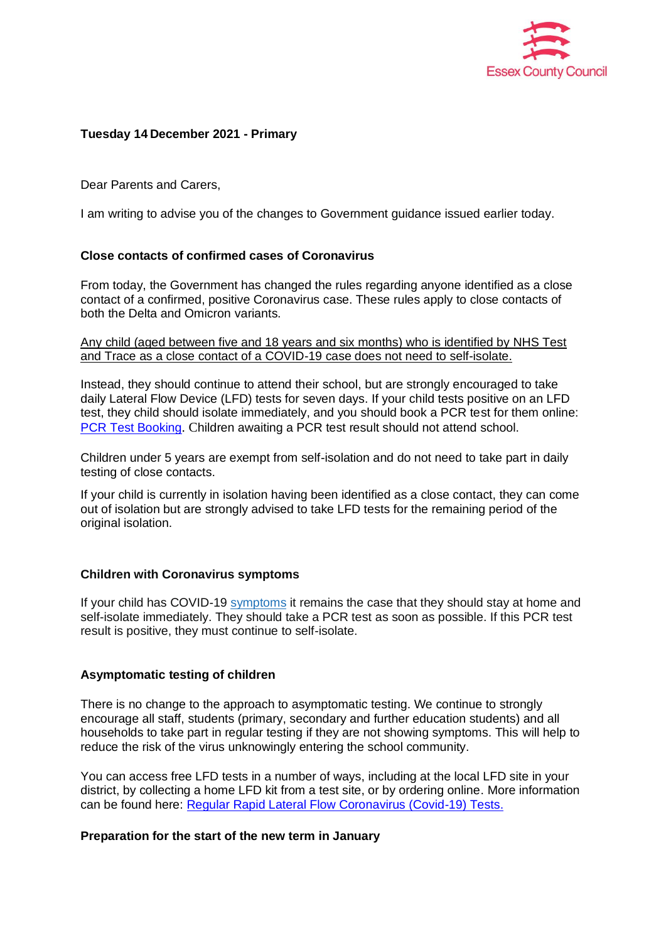

## **Tuesday 14 December 2021 - Primary**

Dear Parents and Carers,

I am writing to advise you of the changes to Government guidance issued earlier today.

# **Close contacts of confirmed cases of Coronavirus**

From today, the Government has changed the rules regarding anyone identified as a close contact of a confirmed, positive Coronavirus case. These rules apply to close contacts of both the Delta and Omicron variants.

Any child (aged between five and 18 years and six months) who is identified by NHS Test and Trace as a close contact of a COVID-19 case does not need to self-isolate.

Instead, they should continue to attend their school, but are strongly encouraged to take daily Lateral Flow Device (LFD) tests for seven days. If your child tests positive on an LFD test, they child should isolate immediately, and you should book a PCR test for them online: [PCR Test Booking](https://www.gov.uk/get-coronavirus-test). Children awaiting a PCR test result should not attend school.

Children under 5 years are exempt from self-isolation and do not need to take part in daily testing of close contacts.

If your child is currently in isolation having been identified as a close contact, they can come out of isolation but are strongly advised to take LFD tests for the remaining period of the original isolation.

### **Children with Coronavirus symptoms**

If your child has COVID-19 [symptoms](https://www.gov.uk/government/publications/covid-19-stay-at-home-guidance/stay-at-home-guidance-for-households-with-possible-coronavirus-covid-19-infection#symptoms) it remains the case that they should stay at home and self-isolate immediately. They should take a PCR test as soon as possible. If this PCR test result is positive, they must continue to self-isolate.

### **Asymptomatic testing of children**

There is no change to the approach to asymptomatic testing. We continue to strongly encourage all staff, students (primary, secondary and further education students) and all households to take part in regular testing if they are not showing symptoms. This will help to reduce the risk of the virus unknowingly entering the school community.

You can access free LFD tests in a number of ways, including at the local LFD site in your district, by collecting a home LFD kit from a test site, or by ordering online. More information can be found here: [Regular Rapid Lateral Flow Coronavirus \(Covid-19\) Tests.](https://www.nhs.uk/conditions/coronavirus-covid-19/testing/regular-rapid-coronavirus-tests-if-you-do-not-have-symptoms/)

### **Preparation for the start of the new term in January**